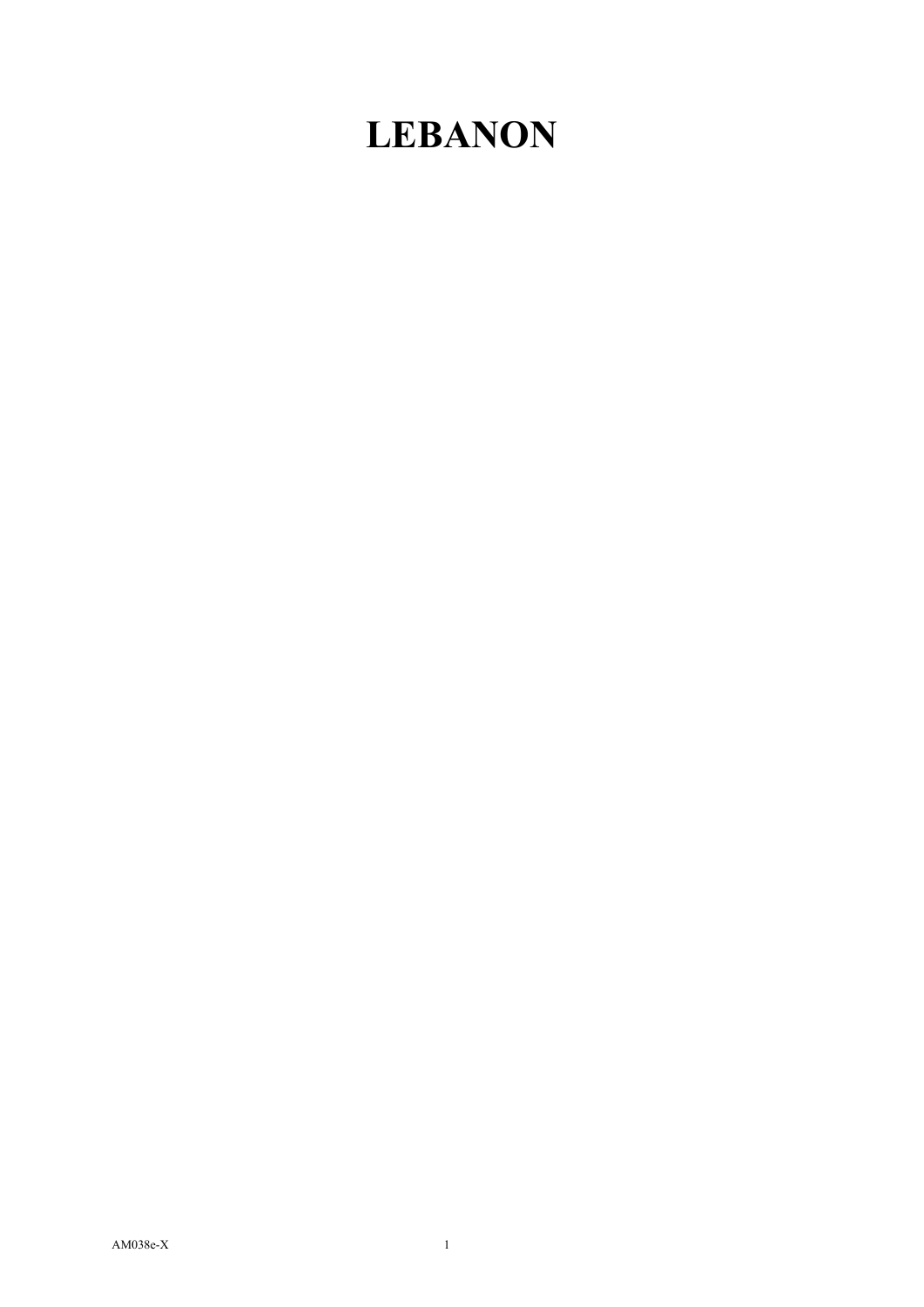## **LEBANON**